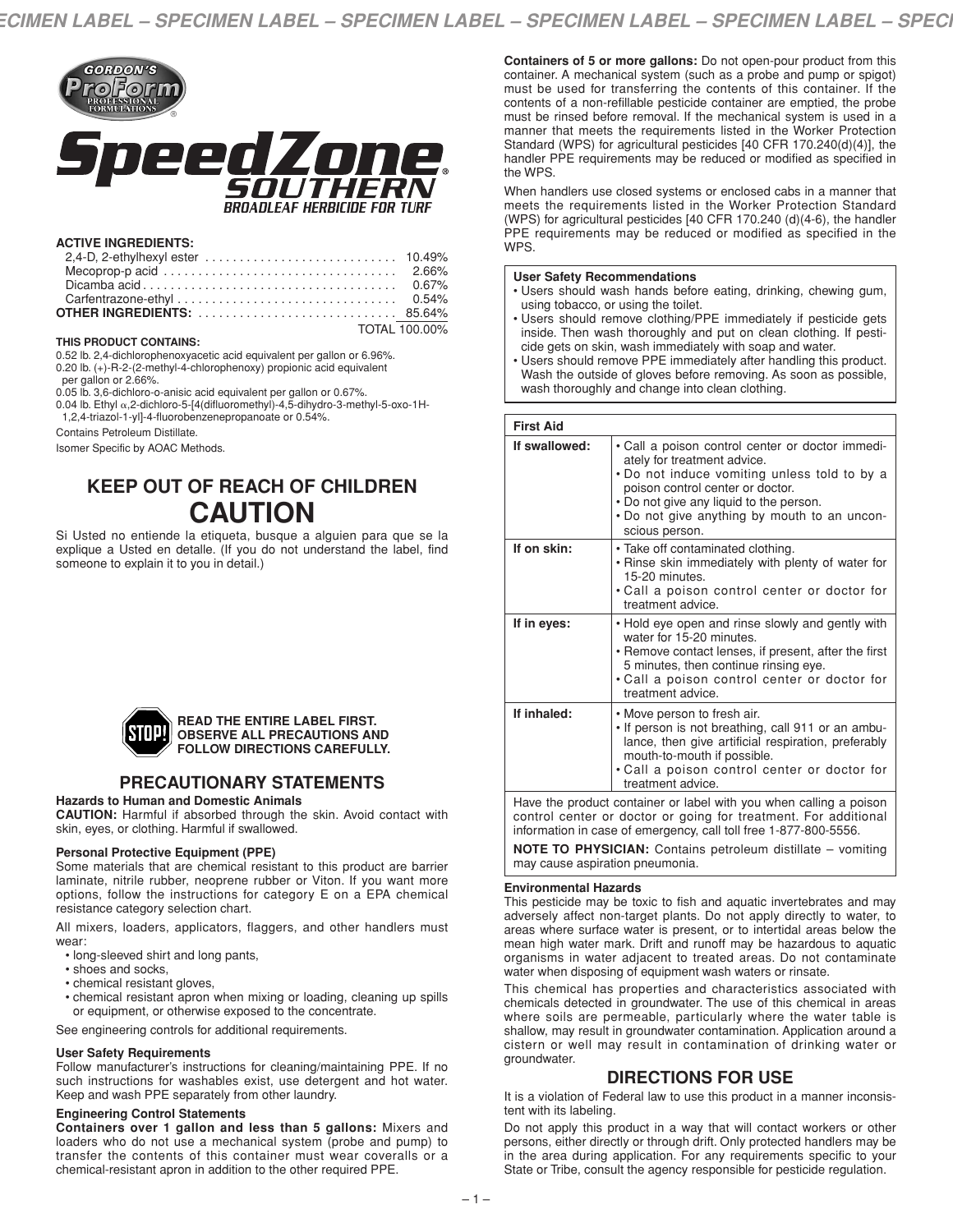

#### **ACTIVE INGREDIENTS:**

| TOTAL 100.00% |  |
|---------------|--|

#### **THIS PRODUCT CONTAINS:**

0.52 lb. 2,4-dichlorophenoxyacetic acid equivalent per gallon or 6.96%. 0.20 lb. (+)-R-2-(2-methyl-4-chlorophenoxy) propionic acid equivalent per gallon or 2.66%.

0.05 lb. 3,6-dichloro-o-anisic acid equivalent per gallon or 0.67%.

0.04 lb. Ethyl α,2-dichloro-5-[4(difluoromethyl)-4,5-dihydro-3-methyl-5-oxo-1H-

1,2,4-triazol-1-yl]-4-fluorobenzenepropanoate or 0.54%.

Contains Petroleum Distillate.

Isomer Specific by AOAC Methods.

# **KEEP OUT OF REACH OF CHILDREN CAUTION**

Si Usted no entiende la etiqueta, busque a alguien para que se la explique a Usted en detalle. (If you do not understand the label, find someone to explain it to you in detail.)



#### **READ THE ENTIRE LABEL FIRST. OBSERVE ALL PRECAUTIONS AND FOLLOW DIRECTIONS CAREFULLY.**

# **PRECAUTIONARY STATEMENTS**

#### **Hazards to Human and Domestic Animals**

**CAUTION:** Harmful if absorbed through the skin. Avoid contact with skin, eyes, or clothing. Harmful if swallowed.

#### **Personal Protective Equipment (PPE)**

Some materials that are chemical resistant to this product are barrier laminate, nitrile rubber, neoprene rubber or Viton. If you want more options, follow the instructions for category E on a EPA chemical resistance category selection chart.

All mixers, loaders, applicators, flaggers, and other handlers must wear:

- long-sleeved shirt and long pants,
- shoes and socks,
- chemical resistant gloves,
- chemical resistant apron when mixing or loading, cleaning up spills or equipment, or otherwise exposed to the concentrate.

See engineering controls for additional requirements.

#### **User Safety Requirements**

Follow manufacturer's instructions for cleaning/maintaining PPE. If no such instructions for washables exist, use detergent and hot water. Keep and wash PPE separately from other laundry.

#### **Engineering Control Statements**

**Containers over 1 gallon and less than 5 gallons:** Mixers and loaders who do not use a mechanical system (probe and pump) to transfer the contents of this container must wear coveralls or a chemical-resistant apron in addition to the other required PPE.

**Containers of 5 or more gallons:** Do not open-pour product from this container. A mechanical system (such as a probe and pump or spigot) must be used for transferring the contents of this container. If the contents of a non-refillable pesticide container are emptied, the probe must be rinsed before removal. If the mechanical system is used in a manner that meets the requirements listed in the Worker Protection Standard (WPS) for agricultural pesticides [40 CFR 170.240(d)(4)], the handler PPE requirements may be reduced or modified as specified in the WPS.

When handlers use closed systems or enclosed cabs in a manner that meets the requirements listed in the Worker Protection Standard (WPS) for agricultural pesticides [40 CFR 170.240 (d)(4-6), the handler PPE requirements may be reduced or modified as specified in the WPS.

#### **User Safety Recommendations**

- Users should wash hands before eating, drinking, chewing gum, using tobacco, or using the toilet.
- Users should remove clothing/PPE immediately if pesticide gets inside. Then wash thoroughly and put on clean clothing. If pesticide gets on skin, wash immediately with soap and water.
- Users should remove PPE immediately after handling this product. Wash the outside of gloves before removing. As soon as possible, wash thoroughly and change into clean clothing.

| <b>First Aid</b> |                                                                                                                                                                                                                                                                                  |
|------------------|----------------------------------------------------------------------------------------------------------------------------------------------------------------------------------------------------------------------------------------------------------------------------------|
| If swallowed:    | • Call a poison control center or doctor immedi-<br>ately for treatment advice.<br>• Do not induce vomiting unless told to by a<br>poison control center or doctor.<br>• Do not give any liquid to the person.<br>. Do not give anything by mouth to an uncon-<br>scious person. |
| If on skin:      | • Take off contaminated clothing.<br>• Rinse skin immediately with plenty of water for<br>15-20 minutes.<br>• Call a poison control center or doctor for<br>treatment advice.                                                                                                    |
| If in eyes:      | • Hold eye open and rinse slowly and gently with<br>water for 15-20 minutes.<br>• Remove contact lenses, if present, after the first<br>5 minutes, then continue rinsing eye.<br>• Call a poison control center or doctor for<br>treatment advice.                               |
| If inhaled:      | • Move person to fresh air.<br>. If person is not breathing, call 911 or an ambu-<br>lance, then give artificial respiration, preferably<br>mouth-to-mouth if possible.<br>• Call a poison control center or doctor for<br>treatment advice.                                     |

Have the product container or label with you when calling a poison control center or doctor or going for treatment. For additional information in case of emergency, call toll free 1-877-800-5556.

**NOTE TO PHYSICIAN:** Contains petroleum distillate – vomiting may cause aspiration pneumonia.

#### **Environmental Hazards**

This pesticide may be toxic to fish and aquatic invertebrates and may adversely affect non-target plants. Do not apply directly to water, to areas where surface water is present, or to intertidal areas below the mean high water mark. Drift and runoff may be hazardous to aquatic organisms in water adjacent to treated areas. Do not contaminate water when disposing of equipment wash waters or rinsate.

This chemical has properties and characteristics associated with chemicals detected in groundwater. The use of this chemical in areas where soils are permeable, particularly where the water table is shallow, may result in groundwater contamination. Application around a cistern or well may result in contamination of drinking water or groundwater.

# **DIRECTIONS FOR USE**

It is a violation of Federal law to use this product in a manner inconsistent with its labeling.

Do not apply this product in a way that will contact workers or other persons, either directly or through drift. Only protected handlers may be in the area during application. For any requirements specific to your State or Tribe, consult the agency responsible for pesticide regulation.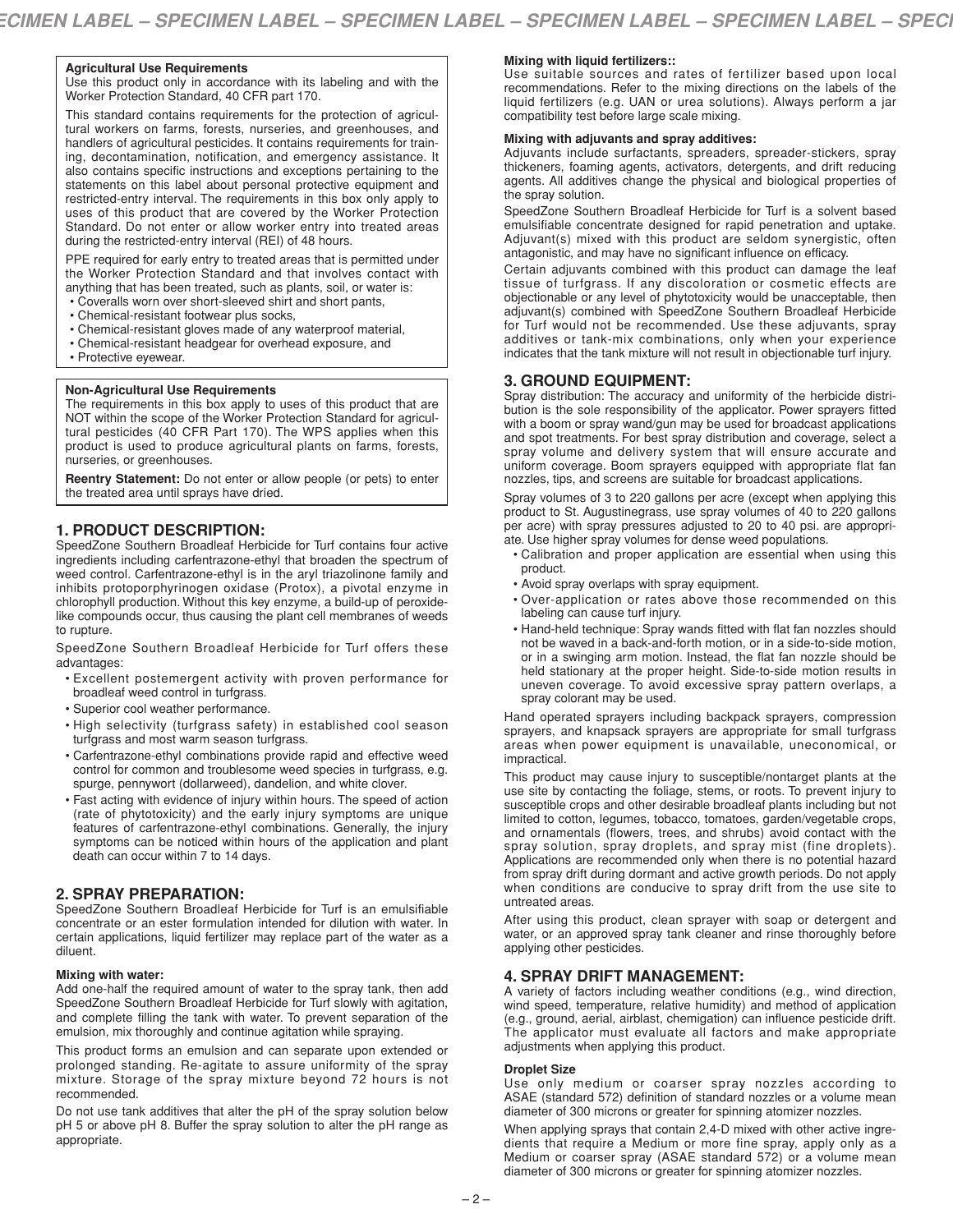### **Agricultural Use Requirements**

Use this product only in accordance with its labeling and with the Worker Protection Standard, 40 CFR part 170.

This standard contains requirements for the protection of agricultural workers on farms, forests, nurseries, and greenhouses, and handlers of agricultural pesticides. It contains requirements for training, decontamination, notification, and emergency assistance. It also contains specific instructions and exceptions pertaining to the statements on this label about personal protective equipment and restricted-entry interval. The requirements in this box only apply to uses of this product that are covered by the Worker Protection Standard. Do not enter or allow worker entry into treated areas during the restricted-entry interval (REI) of 48 hours.

PPE required for early entry to treated areas that is permitted under the Worker Protection Standard and that involves contact with anything that has been treated, such as plants, soil, or water is:

- Coveralls worn over short-sleeved shirt and short pants,
- Chemical-resistant footwear plus socks,
- Chemical-resistant gloves made of any waterproof material,
- Chemical-resistant headgear for overhead exposure, and
- Protective eyewear.

#### **Non-Agricultural Use Requirements**

The requirements in this box apply to uses of this product that are NOT within the scope of the Worker Protection Standard for agricultural pesticides (40 CFR Part 170). The WPS applies when this product is used to produce agricultural plants on farms, forests, nurseries, or greenhouses.

**Reentry Statement:** Do not enter or allow people (or pets) to enter the treated area until sprays have dried.

# **1. PRODUCT DESCRIPTION:**

SpeedZone Southern Broadleaf Herbicide for Turf contains four active ingredients including carfentrazone-ethyl that broaden the spectrum of weed control. Carfentrazone-ethyl is in the aryl triazolinone family and inhibits protoporphyrinogen oxidase (Protox), a pivotal enzyme in chlorophyll production. Without this key enzyme, a build-up of peroxidelike compounds occur, thus causing the plant cell membranes of weeds to rupture.

SpeedZone Southern Broadleaf Herbicide for Turf offers these advantages:

- Excellent postemergent activity with proven performance for broadleaf weed control in turfgrass.
- Superior cool weather performance.
- High selectivity (turfgrass safety) in established cool season turfgrass and most warm season turfgrass.
- Carfentrazone-ethyl combinations provide rapid and effective weed control for common and troublesome weed species in turfgrass, e.g. spurge, pennywort (dollarweed), dandelion, and white clover.
- Fast acting with evidence of injury within hours. The speed of action (rate of phytotoxicity) and the early injury symptoms are unique features of carfentrazone-ethyl combinations. Generally, the injury symptoms can be noticed within hours of the application and plant death can occur within 7 to 14 days.

# **2. SPRAY PREPARATION:**

SpeedZone Southern Broadleaf Herbicide for Turf is an emulsifiable concentrate or an ester formulation intended for dilution with water. In certain applications, liquid fertilizer may replace part of the water as a diluent.

#### **Mixing with water:**

Add one-half the required amount of water to the spray tank, then add SpeedZone Southern Broadleaf Herbicide for Turf slowly with agitation, and complete filling the tank with water. To prevent separation of the emulsion, mix thoroughly and continue agitation while spraying.

This product forms an emulsion and can separate upon extended or prolonged standing. Re-agitate to assure uniformity of the spray mixture. Storage of the spray mixture beyond 72 hours is not recommended.

Do not use tank additives that alter the pH of the spray solution below pH 5 or above pH 8. Buffer the spray solution to alter the pH range as appropriate.

# **Mixing with liquid fertilizers::**

Use suitable sources and rates of fertilizer based upon local recommendations. Refer to the mixing directions on the labels of the liquid fertilizers (e.g. UAN or urea solutions). Always perform a jar compatibility test before large scale mixing.

#### **Mixing with adjuvants and spray additives:**

Adjuvants include surfactants, spreaders, spreader-stickers, spray thickeners, foaming agents, activators, detergents, and drift reducing agents. All additives change the physical and biological properties of the spray solution.

SpeedZone Southern Broadleaf Herbicide for Turf is a solvent based emulsifiable concentrate designed for rapid penetration and uptake. Adjuvant(s) mixed with this product are seldom synergistic, often antagonistic, and may have no significant influence on efficacy.

Certain adjuvants combined with this product can damage the leaf tissue of turfgrass. If any discoloration or cosmetic effects are objectionable or any level of phytotoxicity would be unacceptable, then adjuvant(s) combined with SpeedZone Southern Broadleaf Herbicide for Turf would not be recommended. Use these adjuvants, spray additives or tank-mix combinations, only when your experience indicates that the tank mixture will not result in objectionable turf injury.

# **3. GROUND EQUIPMENT:**

Spray distribution: The accuracy and uniformity of the herbicide distribution is the sole responsibility of the applicator. Power sprayers fitted with a boom or spray wand/gun may be used for broadcast applications and spot treatments. For best spray distribution and coverage, select a spray volume and delivery system that will ensure accurate and uniform coverage. Boom sprayers equipped with appropriate flat fan nozzles, tips, and screens are suitable for broadcast applications.

Spray volumes of 3 to 220 gallons per acre (except when applying this product to St. Augustinegrass, use spray volumes of 40 to 220 gallons per acre) with spray pressures adjusted to 20 to 40 psi. are appropriate. Use higher spray volumes for dense weed populations.

- Calibration and proper application are essential when using this product.
- Avoid spray overlaps with spray equipment.
- Over-application or rates above those recommended on this labeling can cause turf injury.
- Hand-held technique: Spray wands fitted with flat fan nozzles should not be waved in a back-and-forth motion, or in a side-to-side motion, or in a swinging arm motion. Instead, the flat fan nozzle should be held stationary at the proper height. Side-to-side motion results in uneven coverage. To avoid excessive spray pattern overlaps, a spray colorant may be used.

Hand operated sprayers including backpack sprayers, compression sprayers, and knapsack sprayers are appropriate for small turfgrass areas when power equipment is unavailable, uneconomical, or impractical.

This product may cause injury to susceptible/nontarget plants at the use site by contacting the foliage, stems, or roots. To prevent injury to susceptible crops and other desirable broadleaf plants including but not limited to cotton, legumes, tobacco, tomatoes, garden/vegetable crops, and ornamentals (flowers, trees, and shrubs) avoid contact with the spray solution, spray droplets, and spray mist (fine droplets). Applications are recommended only when there is no potential hazard from spray drift during dormant and active growth periods. Do not apply when conditions are conducive to spray drift from the use site to untreated areas.

After using this product, clean sprayer with soap or detergent and water, or an approved spray tank cleaner and rinse thoroughly before applying other pesticides.

# **4. SPRAY DRIFT MANAGEMENT:**

A variety of factors including weather conditions (e.g., wind direction, wind speed, temperature, relative humidity) and method of application (e.g., ground, aerial, airblast, chemigation) can influence pesticide drift. The applicator must evaluate all factors and make appropriate adjustments when applying this product.

#### **Droplet Size**

Use only medium or coarser spray nozzles according to ASAE (standard 572) definition of standard nozzles or a volume mean diameter of 300 microns or greater for spinning atomizer nozzles.

When applying sprays that contain 2,4-D mixed with other active ingredients that require a Medium or more fine spray, apply only as a Medium or coarser spray (ASAE standard 572) or a volume mean diameter of 300 microns or greater for spinning atomizer nozzles.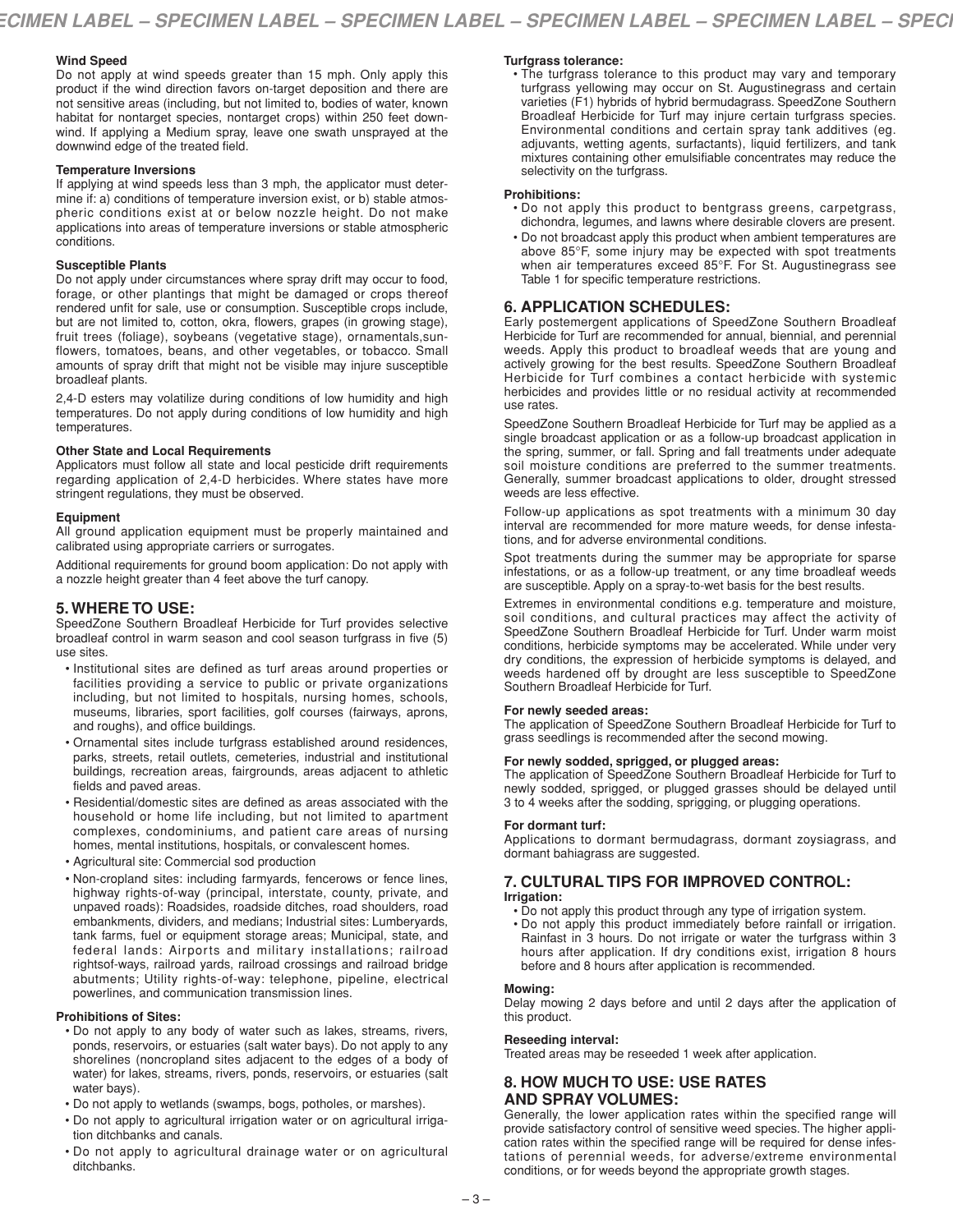# **Wind Speed**

Do not apply at wind speeds greater than 15 mph. Only apply this product if the wind direction favors on-target deposition and there are not sensitive areas (including, but not limited to, bodies of water, known habitat for nontarget species, nontarget crops) within 250 feet downwind. If applying a Medium spray, leave one swath unsprayed at the downwind edge of the treated field.

### **Temperature Inversions**

If applying at wind speeds less than 3 mph, the applicator must determine if: a) conditions of temperature inversion exist, or b) stable atmospheric conditions exist at or below nozzle height. Do not make applications into areas of temperature inversions or stable atmospheric conditions.

### **Susceptible Plants**

Do not apply under circumstances where spray drift may occur to food, forage, or other plantings that might be damaged or crops thereof rendered unfit for sale, use or consumption. Susceptible crops include, but are not limited to, cotton, okra, flowers, grapes (in growing stage), fruit trees (foliage), soybeans (vegetative stage), ornamentals,sunflowers, tomatoes, beans, and other vegetables, or tobacco. Small amounts of spray drift that might not be visible may injure susceptible broadleaf plants.

2,4-D esters may volatilize during conditions of low humidity and high temperatures. Do not apply during conditions of low humidity and high temperatures.

# **Other State and Local Requirements**

Applicators must follow all state and local pesticide drift requirements regarding application of 2,4-D herbicides. Where states have more stringent regulations, they must be observed.

### **Equipment**

All ground application equipment must be properly maintained and calibrated using appropriate carriers or surrogates.

Additional requirements for ground boom application: Do not apply with a nozzle height greater than 4 feet above the turf canopy.

# **5. WHERE TO USE:**

SpeedZone Southern Broadleaf Herbicide for Turf provides selective broadleaf control in warm season and cool season turfgrass in five (5) use sites.

- Institutional sites are defined as turf areas around properties or facilities providing a service to public or private organizations including, but not limited to hospitals, nursing homes, schools, museums, libraries, sport facilities, golf courses (fairways, aprons, and roughs), and office buildings.
- Ornamental sites include turfgrass established around residences, parks, streets, retail outlets, cemeteries, industrial and institutional buildings, recreation areas, fairgrounds, areas adjacent to athletic fields and paved areas.
- Residential/domestic sites are defined as areas associated with the household or home life including, but not limited to apartment complexes, condominiums, and patient care areas of nursing homes, mental institutions, hospitals, or convalescent homes.
- Agricultural site: Commercial sod production
- Non-cropland sites: including farmyards, fencerows or fence lines, highway rights-of-way (principal, interstate, county, private, and unpaved roads): Roadsides, roadside ditches, road shoulders, road embankments, dividers, and medians; Industrial sites: Lumberyards, tank farms, fuel or equipment storage areas; Municipal, state, and federal lands: Airports and military installations; railroad rightsof-ways, railroad yards, railroad crossings and railroad bridge abutments; Utility rights-of-way: telephone, pipeline, electrical powerlines, and communication transmission lines.

# **Prohibitions of Sites:**

- Do not apply to any body of water such as lakes, streams, rivers, ponds, reservoirs, or estuaries (salt water bays). Do not apply to any shorelines (noncropland sites adjacent to the edges of a body of water) for lakes, streams, rivers, ponds, reservoirs, or estuaries (salt water bays).
- Do not apply to wetlands (swamps, bogs, potholes, or marshes).
- Do not apply to agricultural irrigation water or on agricultural irrigation ditchbanks and canals.
- Do not apply to agricultural drainage water or on agricultural ditchbanks.

# **Turfgrass tolerance:**

• The turfgrass tolerance to this product may vary and temporary turfgrass yellowing may occur on St. Augustinegrass and certain varieties (F1) hybrids of hybrid bermudagrass. SpeedZone Southern Broadleaf Herbicide for Turf may injure certain turfgrass species. Environmental conditions and certain spray tank additives (eg. adjuvants, wetting agents, surfactants), liquid fertilizers, and tank mixtures containing other emulsifiable concentrates may reduce the selectivity on the turfgrass.

### **Prohibitions:**

- Do not apply this product to bentgrass greens, carpetgrass, dichondra, legumes, and lawns where desirable clovers are present.
- Do not broadcast apply this product when ambient temperatures are above 85°F, some injury may be expected with spot treatments when air temperatures exceed 85°F. For St. Augustinegrass see Table 1 for specific temperature restrictions.

# **6. APPLICATION SCHEDULES:**

Early postemergent applications of SpeedZone Southern Broadleaf Herbicide for Turf are recommended for annual, biennial, and perennial weeds. Apply this product to broadleaf weeds that are young and actively growing for the best results. SpeedZone Southern Broadleaf Herbicide for Turf combines a contact herbicide with systemic herbicides and provides little or no residual activity at recommended use rates.

SpeedZone Southern Broadleaf Herbicide for Turf may be applied as a single broadcast application or as a follow-up broadcast application in the spring, summer, or fall. Spring and fall treatments under adequate soil moisture conditions are preferred to the summer treatments. Generally, summer broadcast applications to older, drought stressed weeds are less effective.

Follow-up applications as spot treatments with a minimum 30 day interval are recommended for more mature weeds, for dense infestations, and for adverse environmental conditions.

Spot treatments during the summer may be appropriate for sparse infestations, or as a follow-up treatment, or any time broadleaf weeds are susceptible. Apply on a spray-to-wet basis for the best results.

Extremes in environmental conditions e.g. temperature and moisture, soil conditions, and cultural practices may affect the activity of SpeedZone Southern Broadleaf Herbicide for Turf. Under warm moist conditions, herbicide symptoms may be accelerated. While under very dry conditions, the expression of herbicide symptoms is delayed, and weeds hardened off by drought are less susceptible to SpeedZone Southern Broadleaf Herbicide for Turf.

#### **For newly seeded areas:**

The application of SpeedZone Southern Broadleaf Herbicide for Turf to grass seedlings is recommended after the second mowing.

# **For newly sodded, sprigged, or plugged areas:**

The application of SpeedZone Southern Broadleaf Herbicide for Turf to newly sodded, sprigged, or plugged grasses should be delayed until 3 to 4 weeks after the sodding, sprigging, or plugging operations.

# **For dormant turf:**

Applications to dormant bermudagrass, dormant zoysiagrass, and dormant bahiagrass are suggested.

# **7. CULTURAL TIPS FOR IMPROVED CONTROL:**

# **Irrigation:**

• Do not apply this product through any type of irrigation system. • Do not apply this product immediately before rainfall or irrigation. Rainfast in 3 hours. Do not irrigate or water the turfgrass within 3 hours after application. If dry conditions exist, irrigation 8 hours before and 8 hours after application is recommended.

# **Mowing:**

Delay mowing 2 days before and until 2 days after the application of this product.

# **Reseeding interval:**

Treated areas may be reseeded 1 week after application.

# **8. HOW MUCH TO USE: USE RATES AND SPRAY VOLUMES:**

Generally, the lower application rates within the specified range will provide satisfactory control of sensitive weed species. The higher application rates within the specified range will be required for dense infestations of perennial weeds, for adverse/extreme environmental conditions, or for weeds beyond the appropriate growth stages.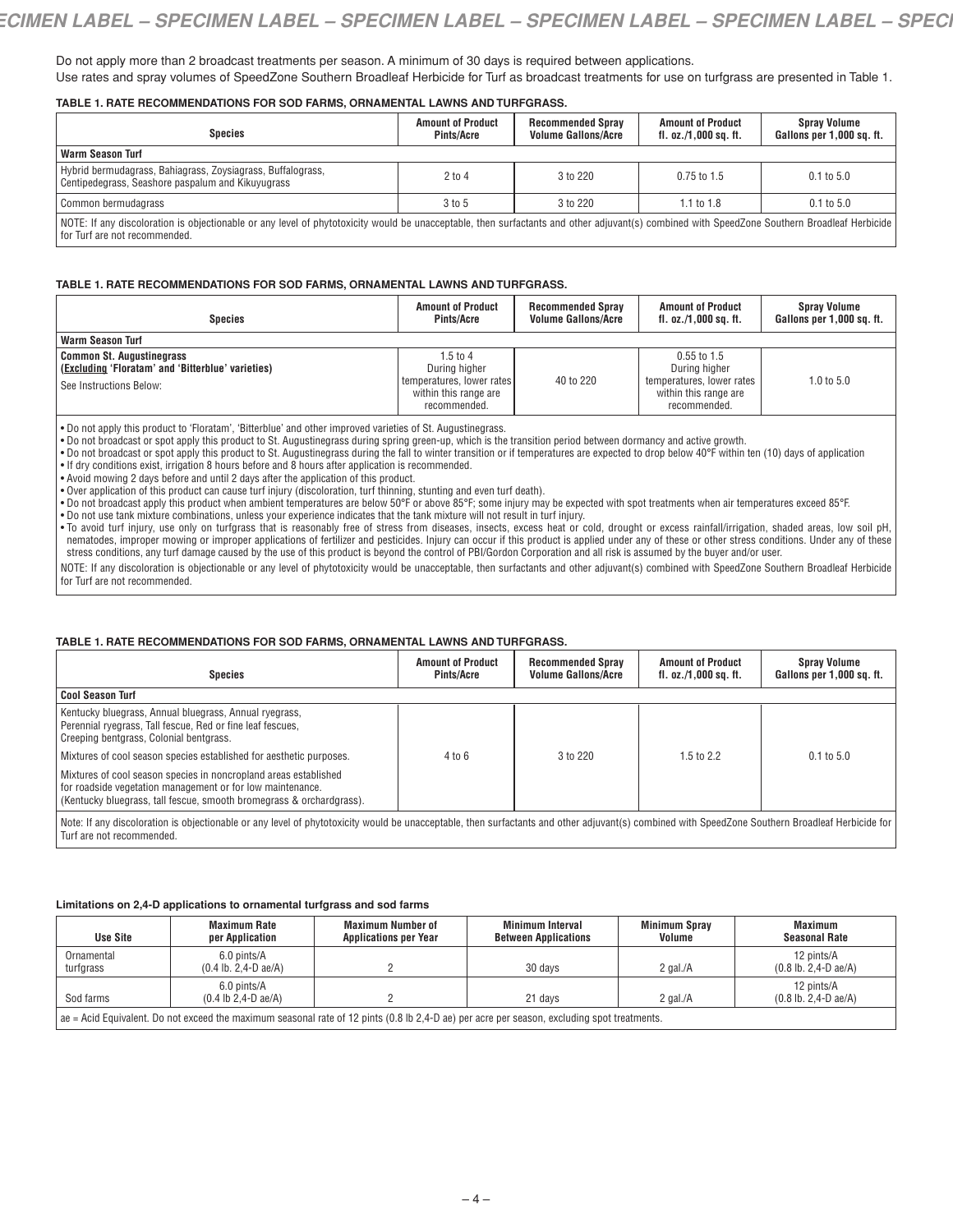Do not apply more than 2 broadcast treatments per season. A minimum of 30 days is required between applications. Use rates and spray volumes of SpeedZone Southern Broadleaf Herbicide for Turf as broadcast treatments for use on turfgrass are presented in Table 1.

### **TABLE 1. RATE RECOMMENDATIONS FOR SOD FARMS, ORNAMENTAL LAWNS AND TURFGRASS.**

| Species                                                                                                                                                                                                                       | <b>Amount of Product</b><br>Pints/Acre | <b>Recommended Spray</b><br><b>Volume Gallons/Acre</b> | <b>Amount of Product</b><br>fl. oz./1,000 sq. ft. | <b>Spray Volume</b><br>Gallons per 1,000 sq. ft. |
|-------------------------------------------------------------------------------------------------------------------------------------------------------------------------------------------------------------------------------|----------------------------------------|--------------------------------------------------------|---------------------------------------------------|--------------------------------------------------|
| <b>Warm Season Turf</b>                                                                                                                                                                                                       |                                        |                                                        |                                                   |                                                  |
| Hybrid bermudagrass, Bahiagrass, Zoysiagrass, Buffalograss,<br>Centipedegrass, Seashore paspalum and Kikuyugrass                                                                                                              | $2$ to 4                               | 3 to 220                                               | $0.75$ to 1.5                                     | $0.1$ to $5.0$                                   |
| Common bermudagrass                                                                                                                                                                                                           | 3 to 5                                 | 3 to 220                                               | 1.1 to $1.8$                                      | $0.1 \text{ to } 5.0$                            |
| NOTE: If any discoloration is objectionable or any level of phytotoxicity would be unacceptable, then surfactants and other adjuvant(s) combined with SpeedZone Southern Broadleaf Herbicide<br>for Turf are not recommended. |                                        |                                                        |                                                   |                                                  |

#### **TABLE 1. RATE RECOMMENDATIONS FOR SOD FARMS, ORNAMENTAL LAWNS AND TURFGRASS.**

| <b>Species</b>                                                                                                   | <b>Amount of Product</b><br>Pints/Acre                                                          | <b>Recommended Spray</b><br><b>Volume Gallons/Acre</b> | <b>Amount of Product</b><br>fl. oz./1,000 sq. ft.                                                    | <b>Spray Volume</b><br>Gallons per 1,000 sq. ft. |
|------------------------------------------------------------------------------------------------------------------|-------------------------------------------------------------------------------------------------|--------------------------------------------------------|------------------------------------------------------------------------------------------------------|--------------------------------------------------|
| <b>Warm Season Turf</b>                                                                                          |                                                                                                 |                                                        |                                                                                                      |                                                  |
| <b>Common St. Augustinegrass</b><br>(Excluding 'Floratam' and 'Bitterblue' varieties)<br>See Instructions Below: | 1.5 to 4<br>During higher<br>temperatures, lower rates<br>within this range are<br>recommended. | 40 to 220                                              | $0.55$ to 1.5<br>During higher<br>temperatures, lower rates<br>within this range are<br>recommended. | 1.0 to $5.0$                                     |

• Do not apply this product to 'Floratam', 'Bitterblue' and other improved varieties of St. Augustinegrass.<br>• Do not broadcast or spot apply this product to St. Augustinegrass during spring green-up, which is the transiti

• Do not broadcast or spot apply this product to St. Augustinegrass during the fall to winter transition or if temperatures are expected to drop below 40°F within ten (10) days of application

• If dry conditions exist, irrigation 8 hours before and 8 hours after application is recommended.

• Avoid mowing 2 days before and until 2 days after the application of this product.

• Over application of this product can cause turf injury (discoloration, turf thinning, stunting and even turf death).

• Do not broadcast apply this product when ambient temperatures are below 50°F or above 85°F; some injury may be expected with spot treatments when air temperatures exceed 85°F.

• Do not use tank mixture combinations, unless your experience indicates that the tank mixture will not result in turf injury.

• To avoid turf injury, use only on turfgrass that is reasonably free of stress from diseases, insects, excess heat or cold, drought or excess rainfall/irrigation, shaded areas, low soil pH, nematodes, improper mowing or improper applications of fertilizer and pesticides. Injury can occur if this product is applied under any of these or other stress conditions. Under any of these stress conditions, any turf damage caused by the use of this product is beyond the control of PBI/Gordon Corporation and all risk is assumed by the buyer and/or user.

NOTE: If any discoloration is objectionable or any level of phytotoxicity would be unacceptable, then surfactants and other adjuvant(s) combined with SpeedZone Southern Broadleaf Herbicide for Turf are not recommended.

# **TABLE 1. RATE RECOMMENDATIONS FOR SOD FARMS, ORNAMENTAL LAWNS AND TURFGRASS.**

| <b>Species</b>                                                                                                                                                                                                                | <b>Amount of Product</b><br>Pints/Acre | <b>Recommended Spray</b><br><b>Volume Gallons/Acre</b> | <b>Amount of Product</b><br>fl. $oz./1,000$ sq. ft. | <b>Spray Volume</b><br>Gallons per 1,000 sq. ft. |
|-------------------------------------------------------------------------------------------------------------------------------------------------------------------------------------------------------------------------------|----------------------------------------|--------------------------------------------------------|-----------------------------------------------------|--------------------------------------------------|
| Cool Season Turf                                                                                                                                                                                                              |                                        |                                                        |                                                     |                                                  |
| Kentucky bluegrass, Annual bluegrass, Annual ryegrass,<br>Perennial ryegrass, Tall fescue, Red or fine leaf fescues,<br>Creeping bentgrass, Colonial bentgrass.                                                               |                                        |                                                        |                                                     |                                                  |
| Mixtures of cool season species established for aesthetic purposes.                                                                                                                                                           | 4 to 6                                 | 3 to 220                                               | 1.5 to $2.2$                                        | $0.1 \text{ to } 5.0$                            |
| Mixtures of cool season species in noncropland areas established<br>for roadside vegetation management or for low maintenance.<br>(Kentucky bluegrass, tall fescue, smooth bromegrass & orchardgrass).                        |                                        |                                                        |                                                     |                                                  |
| Note: If any discoloration is objectionable or any level of phytotoxicity would be unacceptable, then surfactants and other adjuvant(s) combined with SpeedZone Southern Broadleaf Herbicide for<br>Turf are not recommended. |                                        |                                                        |                                                     |                                                  |

#### **Limitations on 2,4-D applications to ornamental turfgrass and sod farms**

| <b>Use Site</b>                                                                                                                             | Maximum Rate<br>per Application                                  | <b>Maximum Number of</b><br><b>Applications per Year</b> | <b>Minimum Interval</b><br><b>Between Applications</b> | <b>Minimum Spray</b><br>Volume | Maximum<br>Seasonal Rate                                         |
|---------------------------------------------------------------------------------------------------------------------------------------------|------------------------------------------------------------------|----------------------------------------------------------|--------------------------------------------------------|--------------------------------|------------------------------------------------------------------|
| Ornamental<br>turfgrass                                                                                                                     | 6.0 pints/A<br>$(0.4$ lb. 2,4-D ae/A)                            |                                                          | 30 days                                                | 2 gal. $/A$                    | 12 pints/A<br>$(0.8 \text{ lb. } 2.4 \text{ -} D \text{ ae}/A)$  |
| Sod farms                                                                                                                                   | 6.0 pints/A<br>$(0.4 \text{ lb } 2.4 \text{ - } D \text{ ae}/A)$ |                                                          | 21 days                                                | 2 gal. $/A$                    | 12 pints/A<br>$(0.8 \text{ lb. } 2.4 \text{ - } D \text{ ae}/A)$ |
| ae = Acid Equivalent. Do not exceed the maximum seasonal rate of 12 pints (0.8 lb 2,4-D ae) per acre per season, excluding spot treatments. |                                                                  |                                                          |                                                        |                                |                                                                  |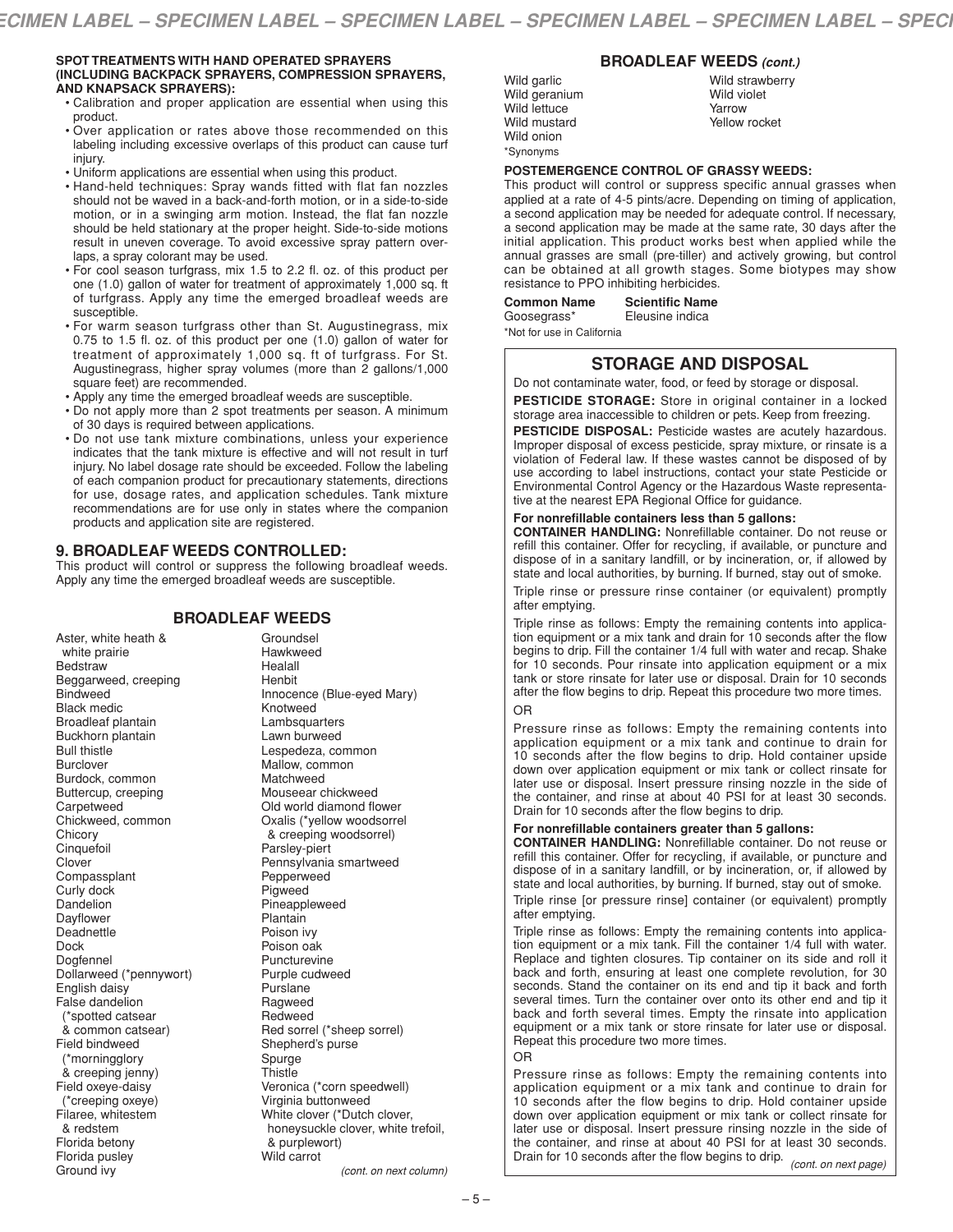#### **SPOT TREATMENTS WITH HAND OPERATED SPRAYERS (INCLUDING BACKPACK SPRAYERS, COMPRESSION SPRAYERS, AND KNAPSACK SPRAYERS):**

- Calibration and proper application are essential when using this product.
- Over application or rates above those recommended on this labeling including excessive overlaps of this product can cause turf injury.
- Uniform applications are essential when using this product.
- Hand-held techniques: Spray wands fitted with flat fan nozzles should not be waved in a back-and-forth motion, or in a side-to-side motion, or in a swinging arm motion. Instead, the flat fan nozzle should be held stationary at the proper height. Side-to-side motions result in uneven coverage. To avoid excessive spray pattern overlaps, a spray colorant may be used.
- For cool season turfgrass, mix 1.5 to 2.2 fl. oz. of this product per one (1.0) gallon of water for treatment of approximately 1,000 sq. ft of turfgrass. Apply any time the emerged broadleaf weeds are susceptible.
- For warm season turfgrass other than St. Augustinegrass, mix 0.75 to 1.5 fl. oz. of this product per one (1.0) gallon of water for treatment of approximately 1,000 sq. ft of turfgrass. For St. Augustinegrass, higher spray volumes (more than 2 gallons/1,000 square feet) are recommended.
- Apply any time the emerged broadleaf weeds are susceptible.
- Do not apply more than 2 spot treatments per season. A minimum of 30 days is required between applications.
- Do not use tank mixture combinations, unless your experience indicates that the tank mixture is effective and will not result in turf injury. No label dosage rate should be exceeded. Follow the labeling of each companion product for precautionary statements, directions for use, dosage rates, and application schedules. Tank mixture recommendations are for use only in states where the companion products and application site are registered.

# **9. BROADLEAF WEEDS CONTROLLED:**

This product will control or suppress the following broadleaf weeds. Apply any time the emerged broadleaf weeds are susceptible.

# **BROADLEAF WEEDS**

Aster, white heath & white prairie **Bedstraw** Beggarweed, creeping Bindweed Black medic Broadleaf plantain Buckhorn plantain Bull thistle Burclover Burdock, common Buttercup, creeping **Carpetweed** Chickweed, common Chicory **Cinquefoil** Clover Compassplant Curly dock **Dandelion** Dayflower Deadnettle Dock Dogfennel Dollarweed (\*pennywort) English daisy False dandelion (\*spotted catsear & common catsear) Field bindweed (\*morningglory & creeping jenny) Field oxeye-daisy (\*creeping oxeye) Filaree, whitestem & redstem Florida betony Florida pusley Ground ivy

Groundsel Hawkweed Healall Henbit Innocence (Blue-eyed Mary) Knotweed Lambsquarters Lawn burweed Lespedeza, common Mallow, common **Matchweed** Mouseear chickweed Old world diamond flower Oxalis (\*yellow woodsorrel & creeping woodsorrel) Parsley-piert Pennsylvania smartweed Pepperweed Pigweed Pineappleweed Plantain Poison ivy Poison oak Puncturevine Purple cudweed **Purslane** Ragweed Redweed Red sorrel (\*sheep sorrel) Shepherd's purse Spurge **Thistle** Veronica (\*corn speedwell) Virginia buttonweed White clover (\*Dutch clover, honeysuckle clover, white trefoil, & purplewort) Wild carrot

#### *(cont. on next column)*

# **BROADLEAF WEEDS** *(cont.)*

| Wild garlic         |
|---------------------|
| Wild geranium       |
| <b>Wild lettuce</b> |
| Wild mustard        |
| Wild onion          |
| *Synonyms           |

Wild strawberry Wild violet Yarrow Yellow rocket

#### **POSTEMERGENCE CONTROL OF GRASSY WEEDS:**

This product will control or suppress specific annual grasses when applied at a rate of 4-5 pints/acre. Depending on timing of application, a second application may be needed for adequate control. If necessary, a second application may be made at the same rate, 30 days after the initial application. This product works best when applied while the annual grasses are small (pre-tiller) and actively growing, but control can be obtained at all growth stages. Some biotypes may show resistance to PPO inhibiting herbicides.

| <b>Common Name</b>         | <b>Scientific Name</b> |
|----------------------------|------------------------|
| Goosegrass*                | Eleusine indica        |
| *Not for use in California |                        |

# **STORAGE AND DISPOSAL**

Do not contaminate water, food, or feed by storage or disposal.

**PESTICIDE STORAGE:** Store in original container in a locked storage area inaccessible to children or pets. Keep from freezing.

**PESTICIDE DISPOSAL:** Pesticide wastes are acutely hazardous. Improper disposal of excess pesticide, spray mixture, or rinsate is a violation of Federal law. If these wastes cannot be disposed of by use according to label instructions, contact your state Pesticide or Environmental Control Agency or the Hazardous Waste representative at the nearest EPA Regional Office for guidance.

### **For nonrefillable containers less than 5 gallons:**

**CONTAINER HANDLING:** Nonrefillable container. Do not reuse or refill this container. Offer for recycling, if available, or puncture and dispose of in a sanitary landfill, or by incineration, or, if allowed by state and local authorities, by burning. If burned, stay out of smoke.

Triple rinse or pressure rinse container (or equivalent) promptly after emptying.

Triple rinse as follows: Empty the remaining contents into application equipment or a mix tank and drain for 10 seconds after the flow begins to drip. Fill the container 1/4 full with water and recap. Shake for 10 seconds. Pour rinsate into application equipment or a mix tank or store rinsate for later use or disposal. Drain for 10 seconds after the flow begins to drip. Repeat this procedure two more times. OR

Pressure rinse as follows: Empty the remaining contents into application equipment or a mix tank and continue to drain for 10 seconds after the flow begins to drip. Hold container upside down over application equipment or mix tank or collect rinsate for later use or disposal. Insert pressure rinsing nozzle in the side of the container, and rinse at about 40 PSI for at least 30 seconds. Drain for 10 seconds after the flow begins to drip.

# **For nonrefillable containers greater than 5 gallons:**

**CONTAINER HANDLING:** Nonrefillable container. Do not reuse or refill this container. Offer for recycling, if available, or puncture and dispose of in a sanitary landfill, or by incineration, or, if allowed by state and local authorities, by burning. If burned, stay out of smoke.

Triple rinse [or pressure rinse] container (or equivalent) promptly after emptying.

Triple rinse as follows: Empty the remaining contents into application equipment or a mix tank. Fill the container 1/4 full with water. Replace and tighten closures. Tip container on its side and roll it back and forth, ensuring at least one complete revolution, for 30 seconds. Stand the container on its end and tip it back and forth several times. Turn the container over onto its other end and tip it back and forth several times. Empty the rinsate into application equipment or a mix tank or store rinsate for later use or disposal. Repeat this procedure two more times.

OR

Pressure rinse as follows: Empty the remaining contents into application equipment or a mix tank and continue to drain for 10 seconds after the flow begins to drip. Hold container upside down over application equipment or mix tank or collect rinsate for later use or disposal. Insert pressure rinsing nozzle in the side of the container, and rinse at about 40 PSI for at least 30 seconds. Drain for <sup>10</sup> seconds after the flow begins to drip. *(cont. on next page)*